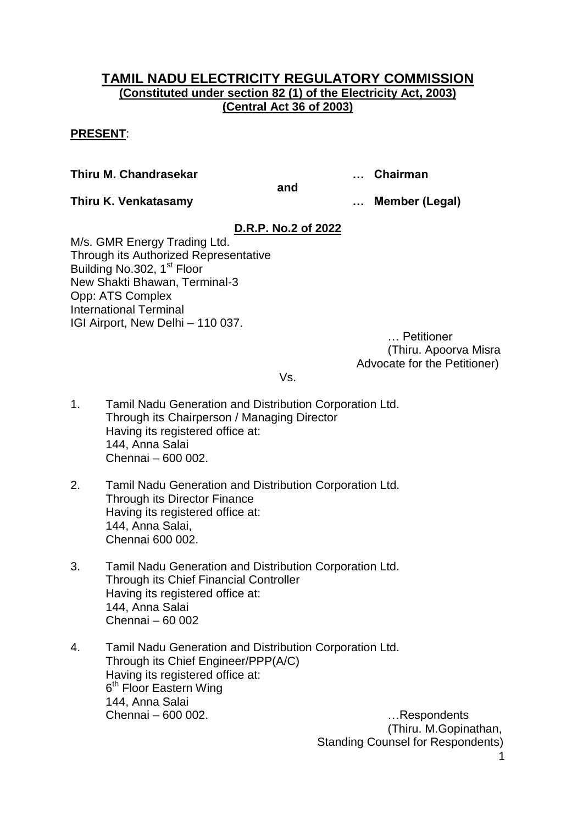# **TAMIL NADU ELECTRICITY REGULATORY COMMISSION (Constituted under section 82 (1) of the Electricity Act, 2003) (Central Act 36 of 2003)**

# **PRESENT**:

**Thiru M. Chandrasekar … Chairman**

**and**

**Thiru K. Venkatasamy … Member (Legal)**

# **D.R.P. No.2 of 2022**

M/s. GMR Energy Trading Ltd. Through its Authorized Representative Building No.302, 1<sup>st</sup> Floor New Shakti Bhawan, Terminal-3 Opp: ATS Complex International Terminal IGI Airport, New Delhi – 110 037.

… Petitioner (Thiru. Apoorva Misra Advocate for the Petitioner)

Vs.

- 1. Tamil Nadu Generation and Distribution Corporation Ltd. Through its Chairperson / Managing Director Having its registered office at: 144, Anna Salai Chennai – 600 002.
- 2. Tamil Nadu Generation and Distribution Corporation Ltd. Through its Director Finance Having its registered office at: 144, Anna Salai, Chennai 600 002.
- 3. Tamil Nadu Generation and Distribution Corporation Ltd. Through its Chief Financial Controller Having its registered office at: 144, Anna Salai Chennai – 60 002
- 4. Tamil Nadu Generation and Distribution Corporation Ltd. Through its Chief Engineer/PPP(A/C) Having its registered office at: 6<sup>th</sup> Floor Eastern Wing 144, Anna Salai Chennai – 600 002. …Respondents

1 (Thiru. M.Gopinathan, Standing Counsel for Respondents)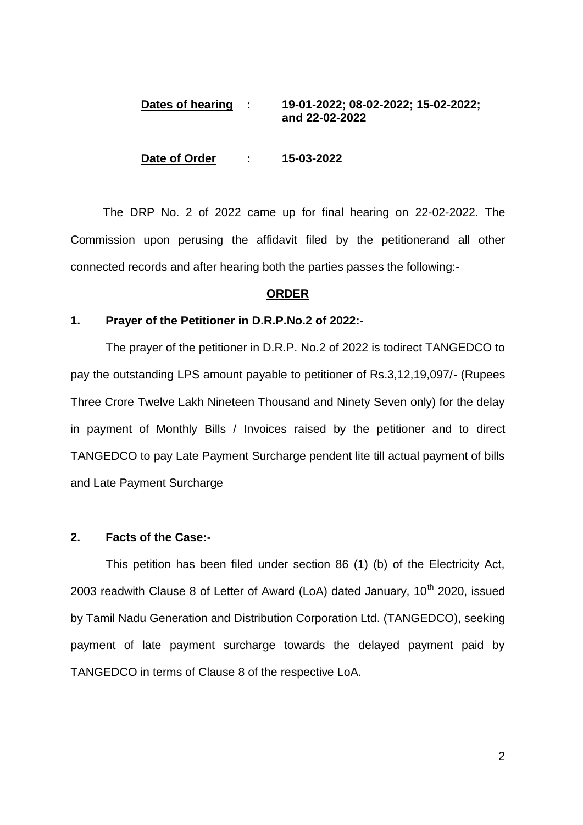## **Dates of hearing : 19-01-2022; 08-02-2022; 15-02-2022; and 22-02-2022**

#### **Date of Order : 15-03-2022**

 The DRP No. 2 of 2022 came up for final hearing on 22-02-2022. The Commission upon perusing the affidavit filed by the petitionerand all other connected records and after hearing both the parties passes the following:-

#### **ORDER**

#### **1. Prayer of the Petitioner in D.R.P.No.2 of 2022:-**

The prayer of the petitioner in D.R.P. No.2 of 2022 is todirect TANGEDCO to pay the outstanding LPS amount payable to petitioner of Rs.3,12,19,097/- (Rupees Three Crore Twelve Lakh Nineteen Thousand and Ninety Seven only) for the delay in payment of Monthly Bills / Invoices raised by the petitioner and to direct TANGEDCO to pay Late Payment Surcharge pendent lite till actual payment of bills and Late Payment Surcharge

#### **2. Facts of the Case:-**

This petition has been filed under section 86 (1) (b) of the Electricity Act, 2003 readwith Clause 8 of Letter of Award (LoA) dated January,  $10^{th}$  2020, issued by Tamil Nadu Generation and Distribution Corporation Ltd. (TANGEDCO), seeking payment of late payment surcharge towards the delayed payment paid by TANGEDCO in terms of Clause 8 of the respective LoA.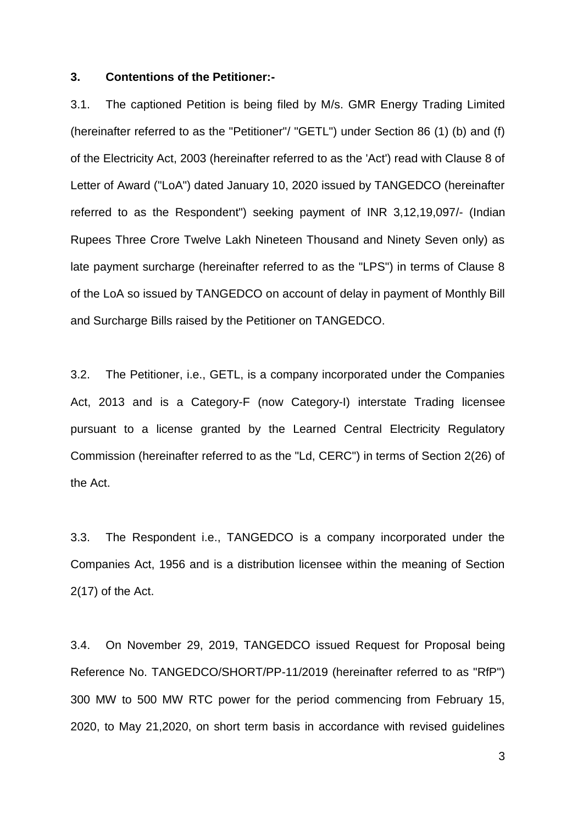#### **3. Contentions of the Petitioner:-**

3.1. The captioned Petition is being filed by M/s. GMR Energy Trading Limited (hereinafter referred to as the "Petitioner"/ "GETL") under Section 86 (1) (b) and (f) of the Electricity Act, 2003 (hereinafter referred to as the 'Act') read with Clause 8 of Letter of Award ("LoA") dated January 10, 2020 issued by TANGEDCO (hereinafter referred to as the Respondent") seeking payment of INR 3,12,19,097/- (Indian Rupees Three Crore Twelve Lakh Nineteen Thousand and Ninety Seven only) as late payment surcharge (hereinafter referred to as the "LPS") in terms of Clause 8 of the LoA so issued by TANGEDCO on account of delay in payment of Monthly Bill and Surcharge Bills raised by the Petitioner on TANGEDCO.

3.2. The Petitioner, i.e., GETL, is a company incorporated under the Companies Act, 2013 and is a Category-F (now Category-I) interstate Trading licensee pursuant to a license granted by the Learned Central Electricity Regulatory Commission (hereinafter referred to as the "Ld, CERC") in terms of Section 2(26) of the Act.

3.3. The Respondent i.e., TANGEDCO is a company incorporated under the Companies Act, 1956 and is a distribution licensee within the meaning of Section 2(17) of the Act.

3.4. On November 29, 2019, TANGEDCO issued Request for Proposal being Reference No. TANGEDCO/SHORT/PP-11/2019 (hereinafter referred to as "RfP") 300 MW to 500 MW RTC power for the period commencing from February 15, 2020, to May 21,2020, on short term basis in accordance with revised guidelines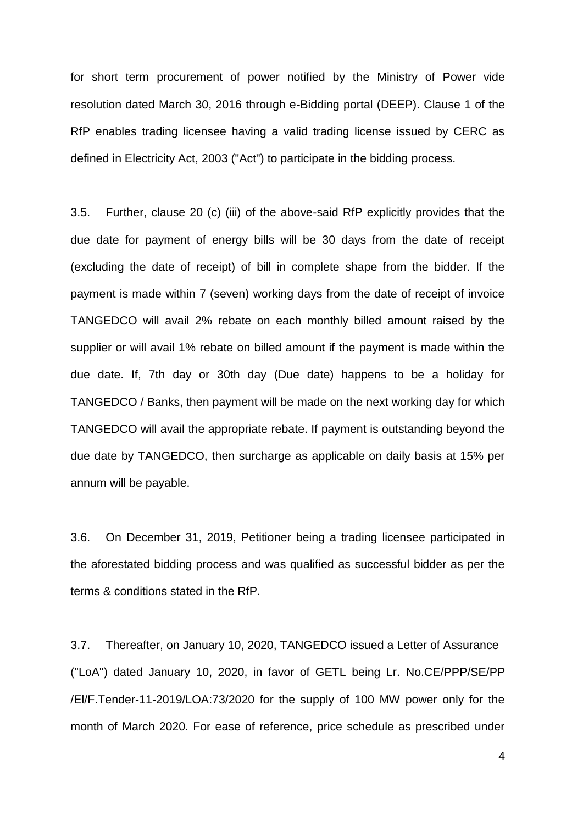for short term procurement of power notified by the Ministry of Power vide resolution dated March 30, 2016 through e-Bidding portal (DEEP). Clause 1 of the RfP enables trading licensee having a valid trading license issued by CERC as defined in Electricity Act, 2003 ("Act") to participate in the bidding process.

3.5. Further, clause 20 (c) (iii) of the above-said RfP explicitly provides that the due date for payment of energy bills will be 30 days from the date of receipt (excluding the date of receipt) of bill in complete shape from the bidder. If the payment is made within 7 (seven) working days from the date of receipt of invoice TANGEDCO will avail 2% rebate on each monthly billed amount raised by the supplier or will avail 1% rebate on billed amount if the payment is made within the due date. If, 7th day or 30th day (Due date) happens to be a holiday for TANGEDCO / Banks, then payment will be made on the next working day for which TANGEDCO will avail the appropriate rebate. If payment is outstanding beyond the due date by TANGEDCO, then surcharge as applicable on daily basis at 15% per annum will be payable.

3.6. On December 31, 2019, Petitioner being a trading licensee participated in the aforestated bidding process and was qualified as successful bidder as per the terms & conditions stated in the RfP.

3.7. Thereafter, on January 10, 2020, TANGEDCO issued a Letter of Assurance ("LoA") dated January 10, 2020, in favor of GETL being Lr. No.CE/PPP/SE/PP /El/F.Tender-11-2019/LOA:73/2020 for the supply of 100 MW power only for the month of March 2020. For ease of reference, price schedule as prescribed under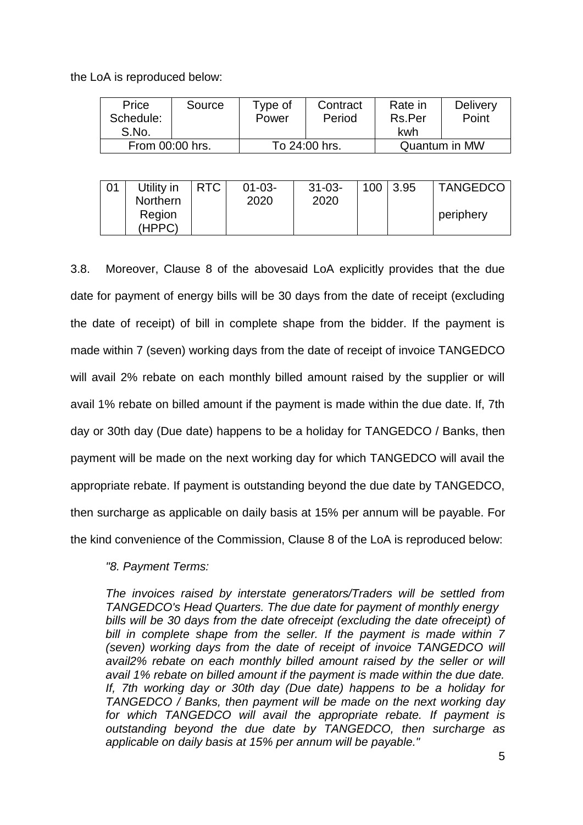the LoA is reproduced below:

| Price           | Source | Type of       | Contract | Rate in       | <b>Delivery</b> |
|-----------------|--------|---------------|----------|---------------|-----------------|
| Schedule:       |        | Power         | Period   | Rs.Per        | Point           |
| S.No.           |        |               |          | kwh           |                 |
| From 00:00 hrs. |        | To 24:00 hrs. |          | Quantum in MW |                 |

| 01 | Utility in | <b>RTC</b> | $01 - 03 -$ | $31 - 03 -$ | $100$   3.95 | <b>TANGEDCO</b> |
|----|------------|------------|-------------|-------------|--------------|-----------------|
|    | Northern   |            | 2020        | 2020        |              |                 |
|    | Region     |            |             |             |              | periphery       |
|    | (HPPC)     |            |             |             |              |                 |

3.8. Moreover, Clause 8 of the abovesaid LoA explicitly provides that the due date for payment of energy bills will be 30 days from the date of receipt (excluding the date of receipt) of bill in complete shape from the bidder. If the payment is made within 7 (seven) working days from the date of receipt of invoice TANGEDCO will avail 2% rebate on each monthly billed amount raised by the supplier or will avail 1% rebate on billed amount if the payment is made within the due date. If, 7th day or 30th day (Due date) happens to be a holiday for TANGEDCO / Banks, then payment will be made on the next working day for which TANGEDCO will avail the appropriate rebate. If payment is outstanding beyond the due date by TANGEDCO, then surcharge as applicable on daily basis at 15% per annum will be payable. For the kind convenience of the Commission, Clause 8 of the LoA is reproduced below:

## *"8. Payment Terms:*

*The invoices raised by interstate generators/Traders will be settled from TANGEDCO's Head Quarters. The due date for payment of monthly energy bills will be 30 days from the date ofreceipt (excluding the date ofreceipt) of bill in complete shape from the seller. If the payment is made within 7 (seven) working days from the date of receipt of invoice TANGEDCO will*  avail2% rebate on each monthly billed amount raised by the seller or will *avail 1% rebate on billed amount if the payment is made within the due date. If, 7th working day or 30th day (Due date) happens to be a holiday for TANGEDCO / Banks, then payment will be made on the next working day for which TANGEDCO will avail the appropriate rebate. If payment is outstanding beyond the due date by TANGEDCO, then surcharge as applicable on daily basis at 15% per annum will be payable."*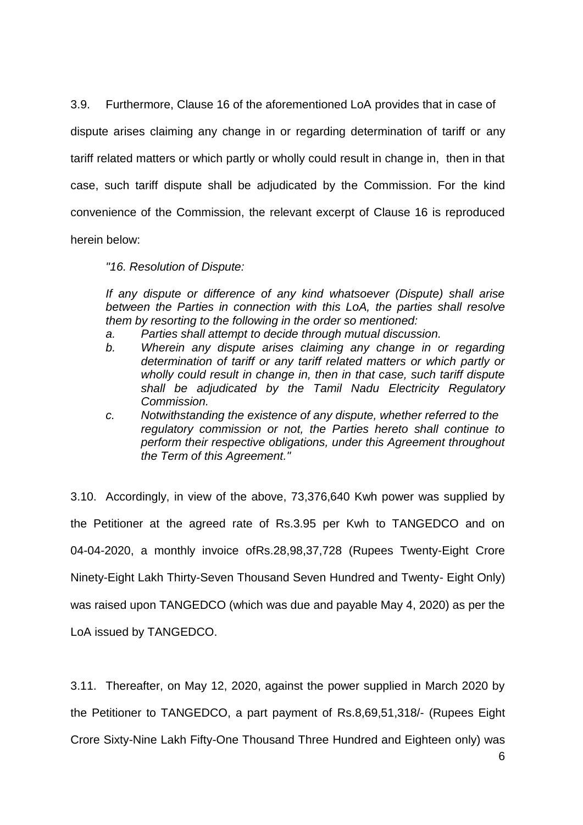3.9. Furthermore, Clause 16 of the aforementioned LoA provides that in case of dispute arises claiming any change in or regarding determination of tariff or any tariff related matters or which partly or wholly could result in change in, then in that case, such tariff dispute shall be adjudicated by the Commission. For the kind convenience of the Commission, the relevant excerpt of Clause 16 is reproduced herein below:

*"16. Resolution of Dispute:* 

*If any dispute or difference of any kind whatsoever (Dispute) shall arise between the Parties in connection with this LoA, the parties shall resolve them by resorting to the following in the order so mentioned:* 

- *a. Parties shall attempt to decide through mutual discussion.*
- *b. Wherein any dispute arises claiming any change in or regarding determination of tariff or any tariff related matters or which partly or wholly could result in change in, then in that case, such tariff dispute shall be adjudicated by the Tamil Nadu Electricity Regulatory Commission.*
- *c. Notwithstanding the existence of any dispute, whether referred to the regulatory commission or not, the Parties hereto shall continue to perform their respective obligations, under this Agreement throughout the Term of this Agreement."*

3.10. Accordingly, in view of the above, 73,376,640 Kwh power was supplied by the Petitioner at the agreed rate of Rs.3.95 per Kwh to TANGEDCO and on 04-04-2020, a monthly invoice ofRs.28,98,37,728 (Rupees Twenty-Eight Crore Ninety-Eight Lakh Thirty-Seven Thousand Seven Hundred and Twenty- Eight Only) was raised upon TANGEDCO (which was due and payable May 4, 2020) as per the LoA issued by TANGEDCO.

3.11. Thereafter, on May 12, 2020, against the power supplied in March 2020 by the Petitioner to TANGEDCO, a part payment of Rs.8,69,51,318/- (Rupees Eight Crore Sixty-Nine Lakh Fifty-One Thousand Three Hundred and Eighteen only) was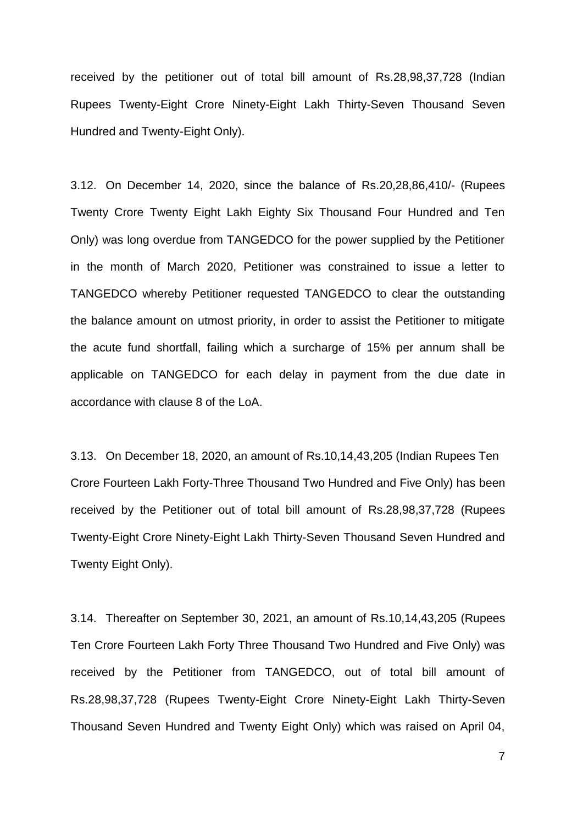received by the petitioner out of total bill amount of Rs.28,98,37,728 (Indian Rupees Twenty-Eight Crore Ninety-Eight Lakh Thirty-Seven Thousand Seven Hundred and Twenty-Eight Only).

3.12. On December 14, 2020, since the balance of Rs.20,28,86,410/- (Rupees Twenty Crore Twenty Eight Lakh Eighty Six Thousand Four Hundred and Ten Only) was long overdue from TANGEDCO for the power supplied by the Petitioner in the month of March 2020, Petitioner was constrained to issue a letter to TANGEDCO whereby Petitioner requested TANGEDCO to clear the outstanding the balance amount on utmost priority, in order to assist the Petitioner to mitigate the acute fund shortfall, failing which a surcharge of 15% per annum shall be applicable on TANGEDCO for each delay in payment from the due date in accordance with clause 8 of the LoA.

3.13. On December 18, 2020, an amount of Rs.10,14,43,205 (Indian Rupees Ten Crore Fourteen Lakh Forty-Three Thousand Two Hundred and Five Only) has been received by the Petitioner out of total bill amount of Rs.28,98,37,728 (Rupees Twenty-Eight Crore Ninety-Eight Lakh Thirty-Seven Thousand Seven Hundred and Twenty Eight Only).

3.14. Thereafter on September 30, 2021, an amount of Rs.10,14,43,205 (Rupees Ten Crore Fourteen Lakh Forty Three Thousand Two Hundred and Five Only) was received by the Petitioner from TANGEDCO, out of total bill amount of Rs.28,98,37,728 (Rupees Twenty-Eight Crore Ninety-Eight Lakh Thirty-Seven Thousand Seven Hundred and Twenty Eight Only) which was raised on April 04,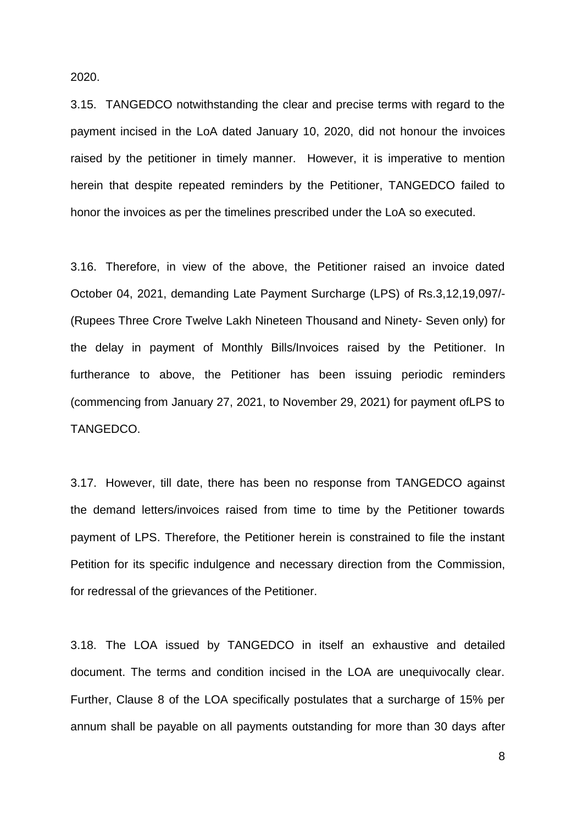2020.

3.15. TANGEDCO notwithstanding the clear and precise terms with regard to the payment incised in the LoA dated January 10, 2020, did not honour the invoices raised by the petitioner in timely manner. However, it is imperative to mention herein that despite repeated reminders by the Petitioner, TANGEDCO failed to honor the invoices as per the timelines prescribed under the LoA so executed.

3.16. Therefore, in view of the above, the Petitioner raised an invoice dated October 04, 2021, demanding Late Payment Surcharge (LPS) of Rs.3,12,19,097/- (Rupees Three Crore Twelve Lakh Nineteen Thousand and Ninety- Seven only) for the delay in payment of Monthly Bills/Invoices raised by the Petitioner. In furtherance to above, the Petitioner has been issuing periodic reminders (commencing from January 27, 2021, to November 29, 2021) for payment ofLPS to TANGEDCO.

3.17. However, till date, there has been no response from TANGEDCO against the demand letters/invoices raised from time to time by the Petitioner towards payment of LPS. Therefore, the Petitioner herein is constrained to file the instant Petition for its specific indulgence and necessary direction from the Commission, for redressal of the grievances of the Petitioner.

3.18. The LOA issued by TANGEDCO in itself an exhaustive and detailed document. The terms and condition incised in the LOA are unequivocally clear. Further, Clause 8 of the LOA specifically postulates that a surcharge of 15% per annum shall be payable on all payments outstanding for more than 30 days after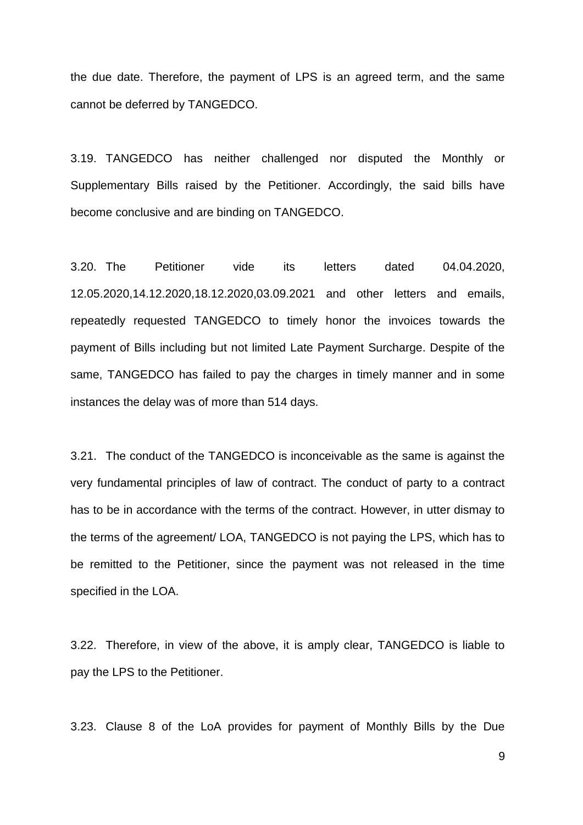the due date. Therefore, the payment of LPS is an agreed term, and the same cannot be deferred by TANGEDCO.

3.19. TANGEDCO has neither challenged nor disputed the Monthly or Supplementary Bills raised by the Petitioner. Accordingly, the said bills have become conclusive and are binding on TANGEDCO.

3.20. The Petitioner vide its letters dated 04.04.2020, 12.05.2020,14.12.2020,18.12.2020,03.09.2021 and other letters and emails, repeatedly requested TANGEDCO to timely honor the invoices towards the payment of Bills including but not limited Late Payment Surcharge. Despite of the same, TANGEDCO has failed to pay the charges in timely manner and in some instances the delay was of more than 514 days.

3.21. The conduct of the TANGEDCO is inconceivable as the same is against the very fundamental principles of law of contract. The conduct of party to a contract has to be in accordance with the terms of the contract. However, in utter dismay to the terms of the agreement/ LOA, TANGEDCO is not paying the LPS, which has to be remitted to the Petitioner, since the payment was not released in the time specified in the LOA.

3.22. Therefore, in view of the above, it is amply clear, TANGEDCO is liable to pay the LPS to the Petitioner.

3.23. Clause 8 of the LoA provides for payment of Monthly Bills by the Due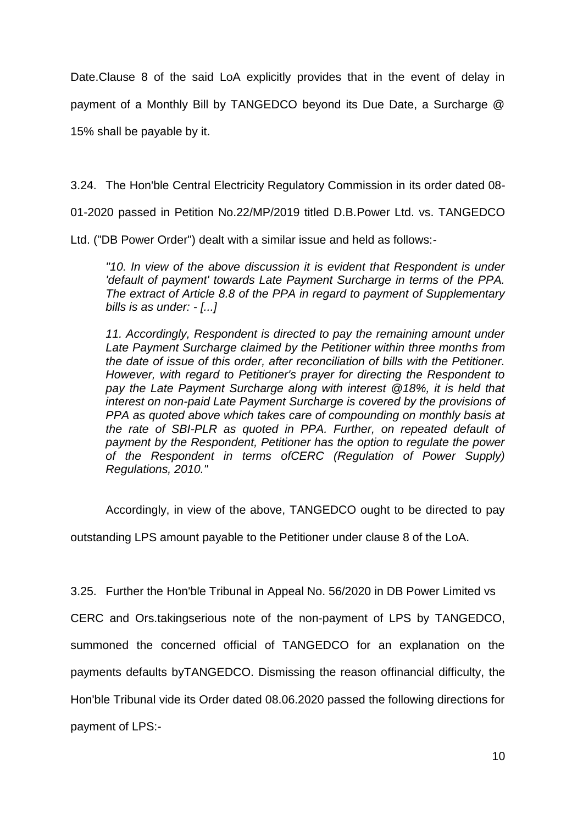Date.Clause 8 of the said LoA explicitly provides that in the event of delay in payment of a Monthly Bill by TANGEDCO beyond its Due Date, a Surcharge @ 15% shall be payable by it.

3.24. The Hon'ble Central Electricity Regulatory Commission in its order dated 08-

01-2020 passed in Petition No.22/MP/2019 titled D.B.Power Ltd. vs. TANGEDCO

Ltd. ("DB Power Order") dealt with a similar issue and held as follows:-

*"10. In view of the above discussion it is evident that Respondent is under 'default of payment' towards Late Payment Surcharge in terms of the PPA. The extract of Article 8.8 of the PPA in regard to payment of Supplementary bills is as under: - [...]*

*11. Accordingly, Respondent is directed to pay the remaining amount under Late Payment Surcharge claimed by the Petitioner within three months from the date of issue of this order, after reconciliation of bills with the Petitioner. However, with regard to Petitioner's prayer for directing the Respondent to pay the Late Payment Surcharge along with interest @18%, it is held that interest on non-paid Late Payment Surcharge is covered by the provisions of PPA as quoted above which takes care of compounding on monthly basis at the rate of SBI-PLR as quoted in PPA. Further, on repeated default of payment by the Respondent, Petitioner has the option to regulate the power of the Respondent in terms ofCERC (Regulation of Power Supply) Regulations, 2010."* 

Accordingly, in view of the above, TANGEDCO ought to be directed to pay

outstanding LPS amount payable to the Petitioner under clause 8 of the LoA.

3.25. Further the Hon'ble Tribunal in Appeal No. 56/2020 in DB Power Limited vs

CERC and Ors.takingserious note of the non-payment of LPS by TANGEDCO,

summoned the concerned official of TANGEDCO for an explanation on the

payments defaults byTANGEDCO. Dismissing the reason offinancial difficulty, the

Hon'ble Tribunal vide its Order dated 08.06.2020 passed the following directions for

payment of LPS:-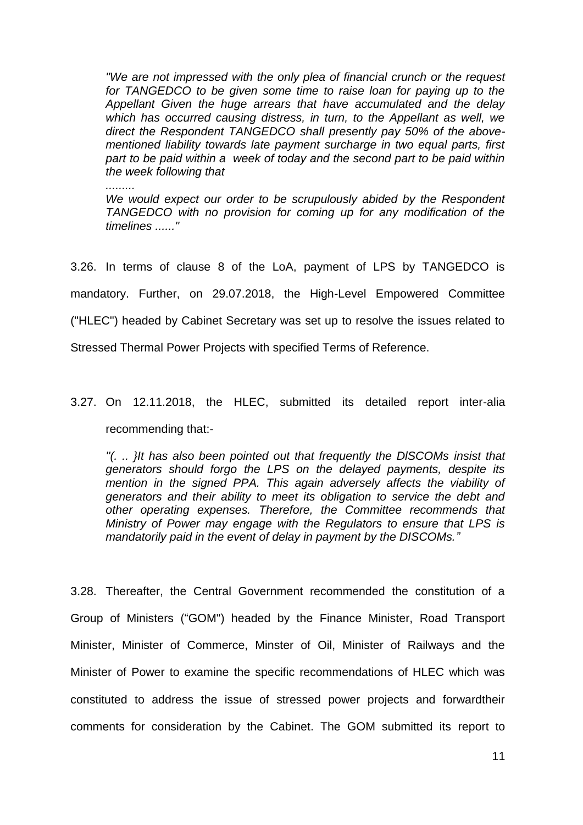*"We are not impressed with the only plea of financial crunch or the request for TANGEDCO to be given some time to raise loan for paying up to the Appellant Given the huge arrears that have accumulated and the delay which has occurred causing distress, in turn, to the Appellant as well, we direct the Respondent TANGEDCO shall presently pay 50% of the abovementioned liability towards late payment surcharge in two equal parts, first part to be paid within a week of today and the second part to be paid within the week following that* 

*.........*

*We would expect our order to be scrupulously abided by the Respondent TANGEDCO with no provision for coming up for any modification of the timelines ......"* 

3.26. In terms of clause 8 of the LoA, payment of LPS by TANGEDCO is mandatory. Further, on 29.07.2018, the High-Level Empowered Committee ("HLEC") headed by Cabinet Secretary was set up to resolve the issues related to Stressed Thermal Power Projects with specified Terms of Reference.

# 3.27. On 12.11.2018, the HLEC, submitted its detailed report inter-alia recommending that:-

*''(. .. }It has also been pointed out that frequently the DlSCOMs insist that generators should forgo the LPS on the delayed payments, despite its mention in the signed PPA. This again adversely affects the viability of generators and their ability to meet its obligation to service the debt and other operating expenses. Therefore, the Committee recommends that Ministry of Power may engage with the Regulators to ensure that LPS is mandatorily paid in the event of delay in payment by the DISCOMs."*

3.28. Thereafter, the Central Government recommended the constitution of a Group of Ministers ("GOM") headed by the Finance Minister, Road Transport Minister, Minister of Commerce, Minster of Oil, Minister of Railways and the Minister of Power to examine the specific recommendations of HLEC which was constituted to address the issue of stressed power projects and forwardtheir comments for consideration by the Cabinet. The GOM submitted its report to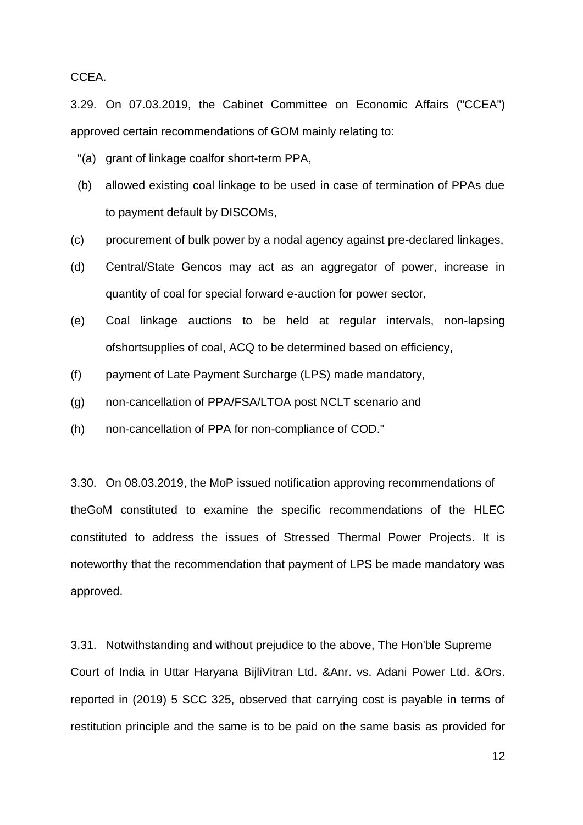CCEA.

3.29. On 07.03.2019, the Cabinet Committee on Economic Affairs ("CCEA") approved certain recommendations of GOM mainly relating to:

- "(a) grant of linkage coalfor short-term PPA,
- (b) allowed existing coal linkage to be used in case of termination of PPAs due to payment default by DISCOMs,
- (c) procurement of bulk power by a nodal agency against pre-declared linkages,
- (d) Central/State Gencos may act as an aggregator of power, increase in quantity of coal for special forward e-auction for power sector,
- (e) Coal linkage auctions to be held at regular intervals, non-lapsing ofshortsupplies of coal, ACQ to be determined based on efficiency,
- (f) payment of Late Payment Surcharge (LPS) made mandatory,
- (g) non-cancellation of PPA/FSA/LTOA post NCLT scenario and
- (h) non-cancellation of PPA for non-compliance of COD."

3.30. On 08.03.2019, the MoP issued notification approving recommendations of theGoM constituted to examine the specific recommendations of the HLEC constituted to address the issues of Stressed Thermal Power Projects. It is noteworthy that the recommendation that payment of LPS be made mandatory was approved.

3.31. Notwithstanding and without prejudice to the above, The Hon'ble Supreme Court of India in Uttar Haryana BijliVitran Ltd. &Anr. vs. Adani Power Ltd. &Ors. reported in (2019) 5 SCC 325, observed that carrying cost is payable in terms of restitution principle and the same is to be paid on the same basis as provided for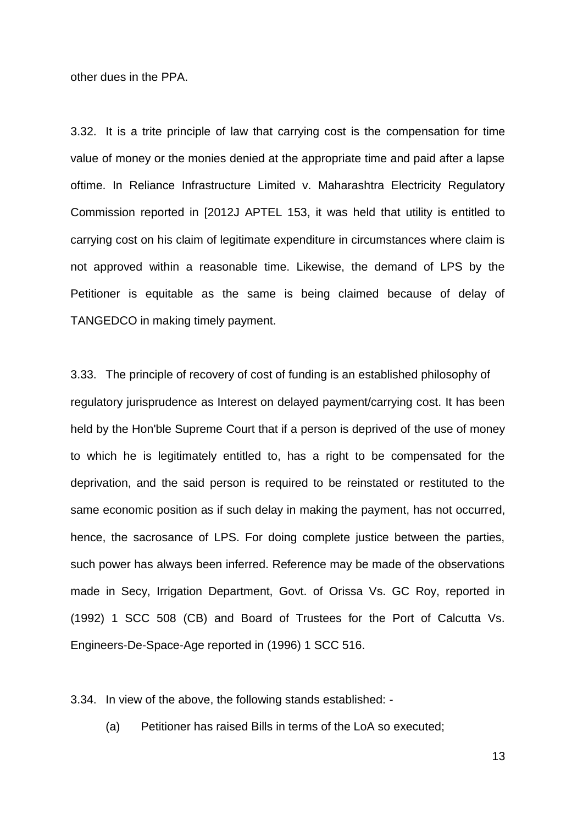other dues in the PPA.

3.32. It is a trite principle of law that carrying cost is the compensation for time value of money or the monies denied at the appropriate time and paid after a lapse oftime. In Reliance Infrastructure Limited v. Maharashtra Electricity Regulatory Commission reported in [2012J APTEL 153, it was held that utility is entitled to carrying cost on his claim of legitimate expenditure in circumstances where claim is not approved within a reasonable time. Likewise, the demand of LPS by the Petitioner is equitable as the same is being claimed because of delay of TANGEDCO in making timely payment.

3.33. The principle of recovery of cost of funding is an established philosophy of regulatory jurisprudence as Interest on delayed payment/carrying cost. It has been held by the Hon'ble Supreme Court that if a person is deprived of the use of money to which he is legitimately entitled to, has a right to be compensated for the deprivation, and the said person is required to be reinstated or restituted to the same economic position as if such delay in making the payment, has not occurred, hence, the sacrosance of LPS. For doing complete justice between the parties, such power has always been inferred. Reference may be made of the observations made in Secy, Irrigation Department, Govt. of Orissa Vs. GC Roy, reported in (1992) 1 SCC 508 (CB) and Board of Trustees for the Port of Calcutta Vs. Engineers-De-Space-Age reported in (1996) 1 SCC 516.

3.34. In view of the above, the following stands established: -

(a) Petitioner has raised Bills in terms of the LoA so executed;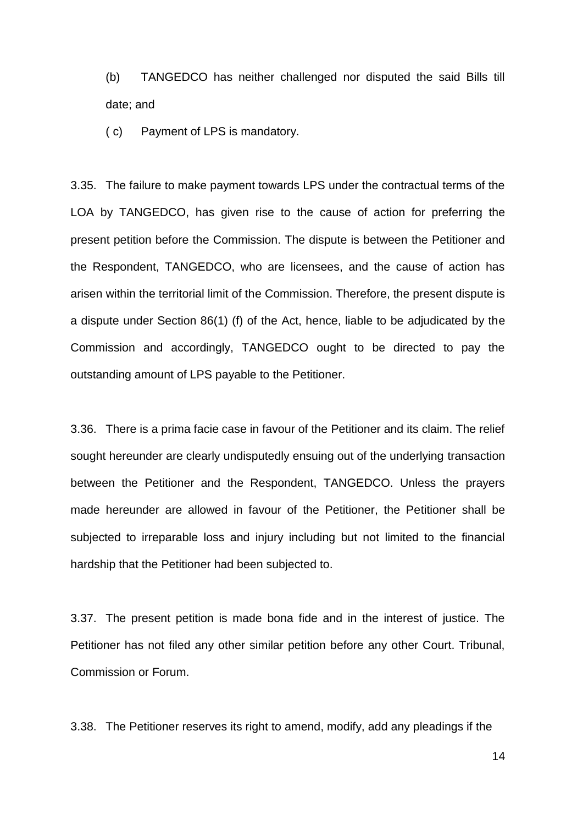(b) TANGEDCO has neither challenged nor disputed the said Bills till date; and

( c) Payment of LPS is mandatory.

3.35. The failure to make payment towards LPS under the contractual terms of the LOA by TANGEDCO, has given rise to the cause of action for preferring the present petition before the Commission. The dispute is between the Petitioner and the Respondent, TANGEDCO, who are licensees, and the cause of action has arisen within the territorial limit of the Commission. Therefore, the present dispute is a dispute under Section 86(1) (f) of the Act, hence, liable to be adjudicated by the Commission and accordingly, TANGEDCO ought to be directed to pay the outstanding amount of LPS payable to the Petitioner.

3.36. There is a prima facie case in favour of the Petitioner and its claim. The relief sought hereunder are clearly undisputedly ensuing out of the underlying transaction between the Petitioner and the Respondent, TANGEDCO. Unless the prayers made hereunder are allowed in favour of the Petitioner, the Petitioner shall be subjected to irreparable loss and injury including but not limited to the financial hardship that the Petitioner had been subjected to.

3.37. The present petition is made bona fide and in the interest of justice. The Petitioner has not filed any other similar petition before any other Court. Tribunal, Commission or Forum.

3.38. The Petitioner reserves its right to amend, modify, add any pleadings if the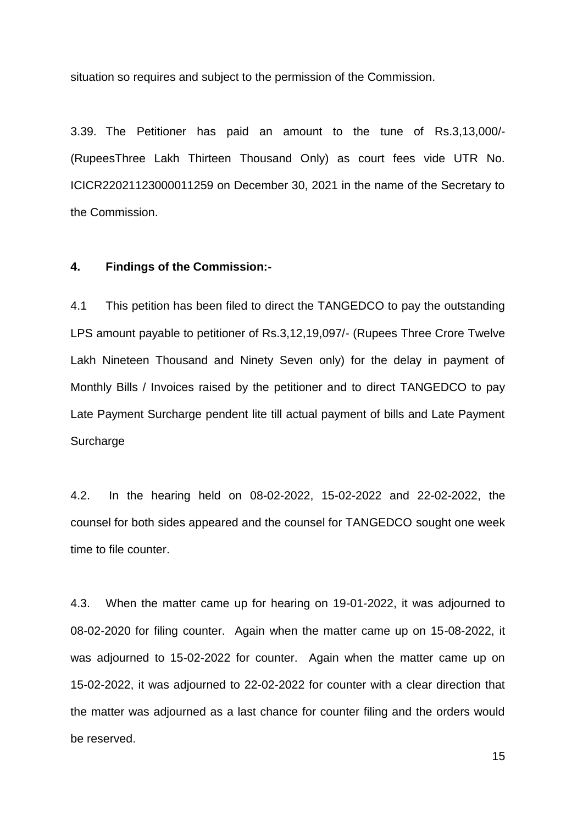situation so requires and subject to the permission of the Commission.

3.39. The Petitioner has paid an amount to the tune of Rs.3,13,000/- (RupeesThree Lakh Thirteen Thousand Only) as court fees vide UTR No. ICICR22021123000011259 on December 30, 2021 in the name of the Secretary to the Commission.

#### **4. Findings of the Commission:-**

4.1 This petition has been filed to direct the TANGEDCO to pay the outstanding LPS amount payable to petitioner of Rs.3,12,19,097/- (Rupees Three Crore Twelve Lakh Nineteen Thousand and Ninety Seven only) for the delay in payment of Monthly Bills / Invoices raised by the petitioner and to direct TANGEDCO to pay Late Payment Surcharge pendent lite till actual payment of bills and Late Payment **Surcharge** 

4.2. In the hearing held on 08-02-2022, 15-02-2022 and 22-02-2022, the counsel for both sides appeared and the counsel for TANGEDCO sought one week time to file counter.

4.3. When the matter came up for hearing on 19-01-2022, it was adjourned to 08-02-2020 for filing counter. Again when the matter came up on 15-08-2022, it was adjourned to 15-02-2022 for counter. Again when the matter came up on 15-02-2022, it was adjourned to 22-02-2022 for counter with a clear direction that the matter was adjourned as a last chance for counter filing and the orders would be reserved.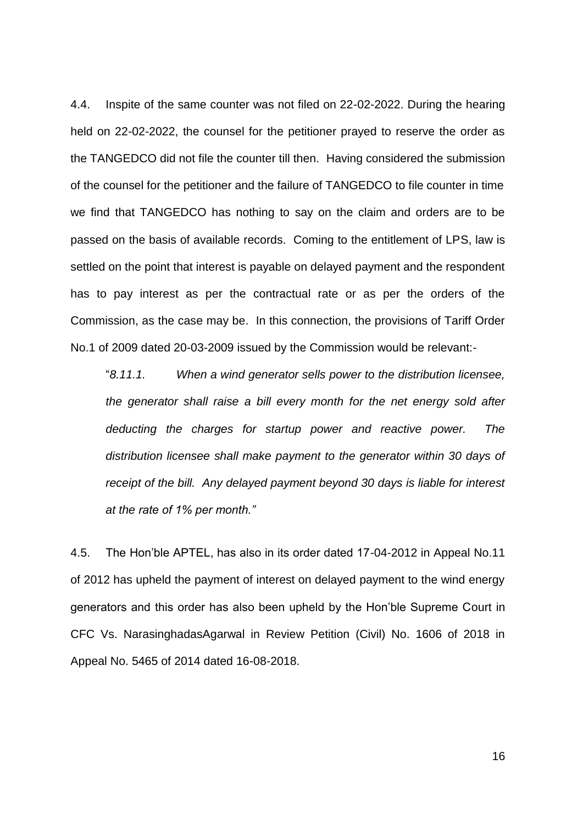4.4. Inspite of the same counter was not filed on 22-02-2022. During the hearing held on 22-02-2022, the counsel for the petitioner prayed to reserve the order as the TANGEDCO did not file the counter till then. Having considered the submission of the counsel for the petitioner and the failure of TANGEDCO to file counter in time we find that TANGEDCO has nothing to say on the claim and orders are to be passed on the basis of available records. Coming to the entitlement of LPS, law is settled on the point that interest is payable on delayed payment and the respondent has to pay interest as per the contractual rate or as per the orders of the Commission, as the case may be. In this connection, the provisions of Tariff Order No.1 of 2009 dated 20-03-2009 issued by the Commission would be relevant:-

"*8.11.1. When a wind generator sells power to the distribution licensee, the generator shall raise a bill every month for the net energy sold after deducting the charges for startup power and reactive power. The distribution licensee shall make payment to the generator within 30 days of receipt of the bill. Any delayed payment beyond 30 days is liable for interest at the rate of 1% per month."*

4.5. The Hon'ble APTEL, has also in its order dated 17-04-2012 in Appeal No.11 of 2012 has upheld the payment of interest on delayed payment to the wind energy generators and this order has also been upheld by the Hon'ble Supreme Court in CFC Vs. NarasinghadasAgarwal in Review Petition (Civil) No. 1606 of 2018 in Appeal No. 5465 of 2014 dated 16-08-2018.